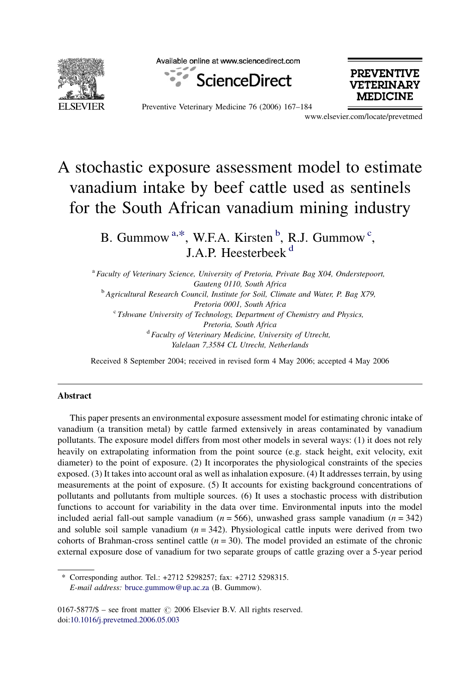

Available online at www.sciencedirect.com





Preventive Veterinary Medicine 76 (2006) 167–184

www.elsevier.com/locate/prevetmed

# A stochastic exposure assessment model to estimate vanadium intake by beef cattle used as sentinels for the South African vanadium mining industry

B. Gummow <sup>a,\*</sup>, W.F.A. Kirsten <sup>b</sup>, R.J. Gummow <sup>c</sup>, J.A.P. Heesterbeek <sup>d</sup>

<sup>a</sup> Faculty of Veterinary Science, University of Pretoria, Private Bag X04, Onderstepoort, Gauteng 0110, South Africa <sup>b</sup> Agricultural Research Council, Institute for Soil, Climate and Water, P. Bag X79, Pretoria 0001, South Africa  $c$  Tshwane University of Technology, Department of Chemistry and Physics, Pretoria, South Africa <sup>d</sup> Faculty of Veterinary Medicine, University of Utrecht, Yalelaan 7,3584 CL Utrecht, Netherlands

Received 8 September 2004; received in revised form 4 May 2006; accepted 4 May 2006

# Abstract

This paper presents an environmental exposure assessment model for estimating chronic intake of vanadium (a transition metal) by cattle farmed extensively in areas contaminated by vanadium pollutants. The exposure model differs from most other models in several ways: (1) it does not rely heavily on extrapolating information from the point source (e.g. stack height, exit velocity, exit diameter) to the point of exposure. (2) It incorporates the physiological constraints of the species exposed. (3) It takes into account oral as well as inhalation exposure. (4) It addresses terrain, by using measurements at the point of exposure. (5) It accounts for existing background concentrations of pollutants and pollutants from multiple sources. (6) It uses a stochastic process with distribution functions to account for variability in the data over time. Environmental inputs into the model included aerial fall-out sample vanadium ( $n = 566$ ), unwashed grass sample vanadium ( $n = 342$ ) and soluble soil sample vanadium ( $n = 342$ ). Physiological cattle inputs were derived from two cohorts of Brahman-cross sentinel cattle  $(n = 30)$ . The model provided an estimate of the chronic external exposure dose of vanadium for two separate groups of cattle grazing over a 5-year period

<sup>\*</sup> Corresponding author. Tel.: +2712 5298257; fax: +2712 5298315. E-mail address: [bruce.gummow@up.ac.za](mailto:bruce.gummow@up.ac.za) (B. Gummow).

<sup>0167-5877/\$ –</sup> see front matter  $\odot$  2006 Elsevier B.V. All rights reserved. doi[:10.1016/j.prevetmed.2006.05.003](http://dx.doi.org/10.1016/j.prevetmed.2006.05.003)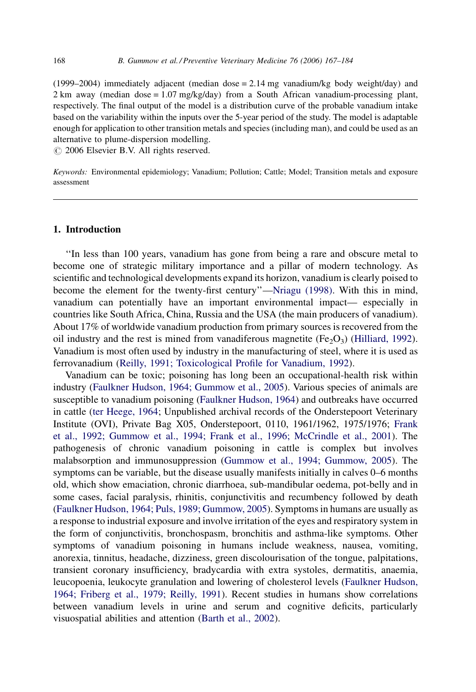(1999–2004) immediately adjacent (median dose = 2.14 mg vanadium/kg body weight/day) and  $2 \text{ km}$  away (median dose = 1.07 mg/kg/day) from a South African vanadium-processing plant, respectively. The final output of the model is a distribution curve of the probable vanadium intake based on the variability within the inputs over the 5-year period of the study. The model is adaptable enough for application to other transition metals and species (including man), and could be used as an alternative to plume-dispersion modelling.

 $\circ$  2006 Elsevier B.V. All rights reserved.

Keywords: Environmental epidemiology; Vanadium; Pollution; Cattle; Model; Transition metals and exposure assessment

# 1. Introduction

''In less than 100 years, vanadium has gone from being a rare and obscure metal to become one of strategic military importance and a pillar of modern technology. As scientific and technological developments expand its horizon, vanadium is clearly poised to become the element for the twenty-first century''[—Nriagu \(1998\).](#page-16-0) With this in mind, vanadium can potentially have an important environmental impact— especially in countries like South Africa, China, Russia and the USA (the main producers of vanadium). About 17% of worldwide vanadium production from primary sources is recovered from the oil industry and the rest is mined from vanadiferous magnetite (Fe<sub>2</sub>O<sub>3</sub>) [\(Hilliard, 1992](#page-16-0)). Vanadium is most often used by industry in the manufacturing of steel, where it is used as ferrovanadium ([Reilly, 1991; Toxicological Profile for Vanadium, 1992](#page-16-0)).

Vanadium can be toxic; poisoning has long been an occupational-health risk within industry [\(Faulkner Hudson, 1964; Gummow et al., 2005](#page-15-0)). Various species of animals are susceptible to vanadium poisoning ([Faulkner Hudson, 1964](#page-15-0)) and outbreaks have occurred in cattle [\(ter Heege, 1964;](#page-16-0) Unpublished archival records of the Onderstepoort Veterinary Institute (OVI), Private Bag X05, Onderstepoort, 0110, 1961/1962, 1975/1976; [Frank](#page-15-0) [et al., 1992; Gummow et al., 1994; Frank et al., 1996; McCrindle et al., 2001](#page-15-0)). The pathogenesis of chronic vanadium poisoning in cattle is complex but involves malabsorption and immunosuppression ([Gummow et al., 1994; Gummow, 2005](#page-15-0)). The symptoms can be variable, but the disease usually manifests initially in calves 0–6 months old, which show emaciation, chronic diarrhoea, sub-mandibular oedema, pot-belly and in some cases, facial paralysis, rhinitis, conjunctivitis and recumbency followed by death ([Faulkner Hudson, 1964; Puls, 1989; Gummow, 2005\)](#page-15-0). Symptoms in humans are usually as a response to industrial exposure and involve irritation of the eyes and respiratory system in the form of conjunctivitis, bronchospasm, bronchitis and asthma-like symptoms. Other symptoms of vanadium poisoning in humans include weakness, nausea, vomiting, anorexia, tinnitus, headache, dizziness, green discolourisation of the tongue, palpitations, transient coronary insufficiency, bradycardia with extra systoles, dermatitis, anaemia, leucopoenia, leukocyte granulation and lowering of cholesterol levels [\(Faulkner Hudson,](#page-15-0) [1964; Friberg et al., 1979; Reilly, 1991\)](#page-15-0). Recent studies in humans show correlations between vanadium levels in urine and serum and cognitive deficits, particularly visuospatial abilities and attention [\(Barth et al., 2002\)](#page-15-0).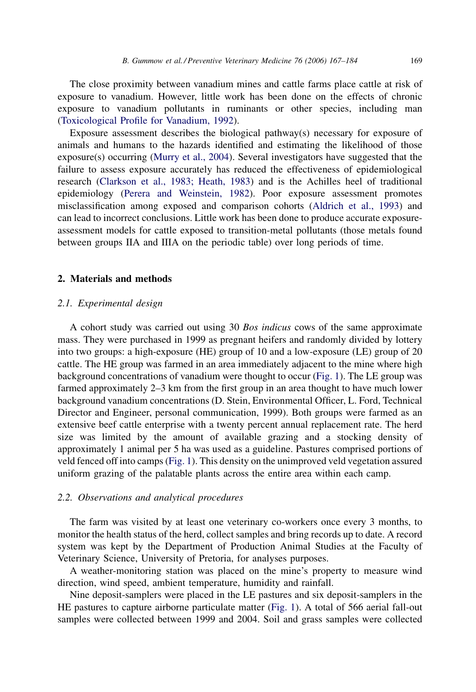Exposure assessment describes the biological pathway(s) necessary for exposure of animals and humans to the hazards identified and estimating the likelihood of those exposure(s) occurring ([Murry et al., 2004](#page-16-0)). Several investigators have suggested that the failure to assess exposure accurately has reduced the effectiveness of epidemiological research [\(Clarkson et al., 1983; Heath, 1983](#page-15-0)) and is the Achilles heel of traditional epidemiology [\(Perera and Weinstein, 1982](#page-16-0)). Poor exposure assessment promotes misclassification among exposed and comparison cohorts [\(Aldrich et al., 1993\)](#page-15-0) and can lead to incorrect conclusions. Little work has been done to produce accurate exposureassessment models for cattle exposed to transition-metal pollutants (those metals found between groups IIA and IIIA on the periodic table) over long periods of time.

# 2. Materials and methods

#### 2.1. Experimental design

A cohort study was carried out using 30 Bos indicus cows of the same approximate mass. They were purchased in 1999 as pregnant heifers and randomly divided by lottery into two groups: a high-exposure (HE) group of 10 and a low-exposure (LE) group of 20 cattle. The HE group was farmed in an area immediately adjacent to the mine where high background concentrations of vanadium were thought to occur [\(Fig. 1](#page-3-0)). The LE group was farmed approximately 2–3 km from the first group in an area thought to have much lower background vanadium concentrations (D. Stein, Environmental Officer, L. Ford, Technical Director and Engineer, personal communication, 1999). Both groups were farmed as an extensive beef cattle enterprise with a twenty percent annual replacement rate. The herd size was limited by the amount of available grazing and a stocking density of approximately 1 animal per 5 ha was used as a guideline. Pastures comprised portions of veld fenced off into camps ([Fig. 1\)](#page-3-0). This density on the unimproved veld vegetation assured uniform grazing of the palatable plants across the entire area within each camp.

#### 2.2. Observations and analytical procedures

The farm was visited by at least one veterinary co-workers once every 3 months, to monitor the health status of the herd, collect samples and bring records up to date. A record system was kept by the Department of Production Animal Studies at the Faculty of Veterinary Science, University of Pretoria, for analyses purposes.

A weather-monitoring station was placed on the mine's property to measure wind direction, wind speed, ambient temperature, humidity and rainfall.

Nine deposit-samplers were placed in the LE pastures and six deposit-samplers in the HE pastures to capture airborne particulate matter ([Fig. 1\)](#page-3-0). A total of 566 aerial fall-out samples were collected between 1999 and 2004. Soil and grass samples were collected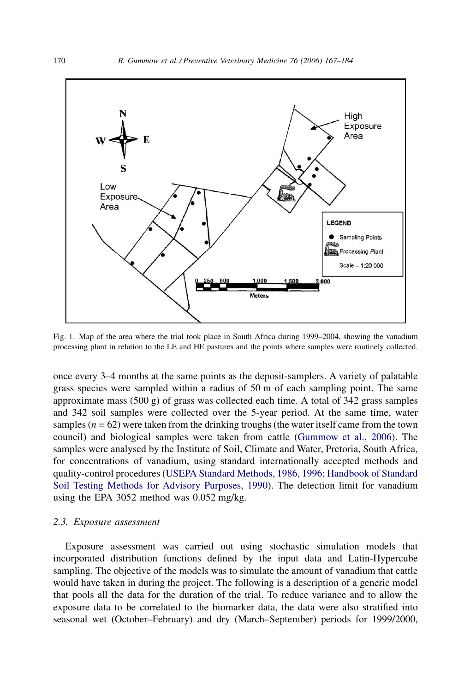<span id="page-3-0"></span>

Fig. 1. Map of the area where the trial took place in South Africa during 1999–2004, showing the vanadium processing plant in relation to the LE and HE pastures and the points where samples were routinely collected.

once every 3–4 months at the same points as the deposit-samplers. A variety of palatable grass species were sampled within a radius of 50 m of each sampling point. The same approximate mass  $(500 \text{ g})$  of grass was collected each time. A total of 342 grass samples and 342 soil samples were collected over the 5-year period. At the same time, water samples ( $n = 62$ ) were taken from the drinking troughs (the water itself came from the town council) and biological samples were taken from cattle ([Gummow et al., 2006](#page-16-0)). The samples were analysed by the Institute of Soil, Climate and Water, Pretoria, South Africa, for concentrations of vanadium, using standard internationally accepted methods and quality-control procedures ([USEPA Standard Methods, 1986, 1996; Handbook of Standard](#page-17-0) [Soil Testing Methods for Advisory Purposes, 1990](#page-17-0)). The detection limit for vanadium using the EPA 3052 method was 0.052 mg/kg.

#### 2.3. Exposure assessment

Exposure assessment was carried out using stochastic simulation models that incorporated distribution functions defined by the input data and Latin-Hypercube sampling. The objective of the models was to simulate the amount of vanadium that cattle would have taken in during the project. The following is a description of a generic model that pools all the data for the duration of the trial. To reduce variance and to allow the exposure data to be correlated to the biomarker data, the data were also stratified into seasonal wet (October–February) and dry (March–September) periods for 1999/2000,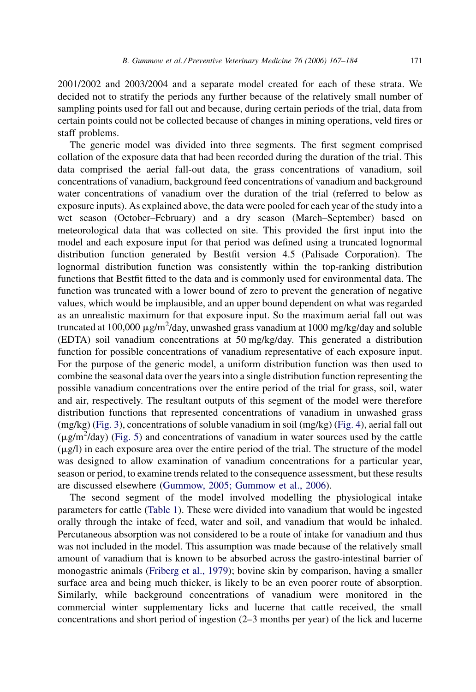2001/2002 and 2003/2004 and a separate model created for each of these strata. We decided not to stratify the periods any further because of the relatively small number of sampling points used for fall out and because, during certain periods of the trial, data from certain points could not be collected because of changes in mining operations, veld fires or staff problems.

The generic model was divided into three segments. The first segment comprised collation of the exposure data that had been recorded during the duration of the trial. This data comprised the aerial fall-out data, the grass concentrations of vanadium, soil concentrations of vanadium, background feed concentrations of vanadium and background water concentrations of vanadium over the duration of the trial (referred to below as exposure inputs). As explained above, the data were pooled for each year of the study into a wet season (October–February) and a dry season (March–September) based on meteorological data that was collected on site. This provided the first input into the model and each exposure input for that period was defined using a truncated lognormal distribution function generated by Bestfit version 4.5 (Palisade Corporation). The lognormal distribution function was consistently within the top-ranking distribution functions that Bestfit fitted to the data and is commonly used for environmental data. The function was truncated with a lower bound of zero to prevent the generation of negative values, which would be implausible, and an upper bound dependent on what was regarded as an unrealistic maximum for that exposure input. So the maximum aerial fall out was truncated at 100,000  $\mu$ g/m<sup>2</sup>/day, unwashed grass vanadium at 1000 mg/kg/day and soluble (EDTA) soil vanadium concentrations at 50 mg/kg/day. This generated a distribution function for possible concentrations of vanadium representative of each exposure input. For the purpose of the generic model, a uniform distribution function was then used to combine the seasonal data over the years into a single distribution function representing the possible vanadium concentrations over the entire period of the trial for grass, soil, water and air, respectively. The resultant outputs of this segment of the model were therefore distribution functions that represented concentrations of vanadium in unwashed grass  $(mg/kg)$  [\(Fig. 3](#page-9-0)), concentrations of soluble vanadium in soil  $(mg/kg)$  ([Fig. 4\)](#page-10-0), aerial fall out  $(\mu g/m^2/day)$  ([Fig. 5\)](#page-10-0) and concentrations of vanadium in water sources used by the cattle  $(\mu g/l)$  in each exposure area over the entire period of the trial. The structure of the model was designed to allow examination of vanadium concentrations for a particular year, season or period, to examine trends related to the consequence assessment, but these results are discussed elsewhere [\(Gummow, 2005; Gummow et al., 2006\)](#page-16-0).

The second segment of the model involved modelling the physiological intake parameters for cattle [\(Table 1](#page-5-0)). These were divided into vanadium that would be ingested orally through the intake of feed, water and soil, and vanadium that would be inhaled. Percutaneous absorption was not considered to be a route of intake for vanadium and thus was not included in the model. This assumption was made because of the relatively small amount of vanadium that is known to be absorbed across the gastro-intestinal barrier of monogastric animals ([Friberg et al., 1979](#page-15-0)); bovine skin by comparison, having a smaller surface area and being much thicker, is likely to be an even poorer route of absorption. Similarly, while background concentrations of vanadium were monitored in the commercial winter supplementary licks and lucerne that cattle received, the small concentrations and short period of ingestion (2–3 months per year) of the lick and lucerne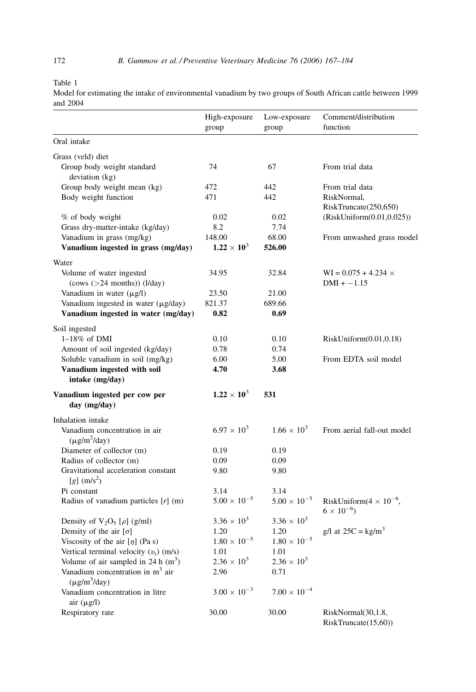Table 1

Model for estimating the intake of environmental vanadium by two groups of South African cattle between 1999 and 2004

|                                                                               | High-exposure<br>group | Low-exposure<br>group | Comment/distribution<br>function                         |  |
|-------------------------------------------------------------------------------|------------------------|-----------------------|----------------------------------------------------------|--|
| Oral intake                                                                   |                        |                       |                                                          |  |
| Grass (veld) diet                                                             |                        |                       |                                                          |  |
| Group body weight standard<br>deviation (kg)                                  | 74                     | 67                    | From trial data                                          |  |
| Group body weight mean (kg)                                                   | 472                    | 442                   | From trial data                                          |  |
| Body weight function                                                          | 471                    | 442                   | RiskNormal,<br>RiskTruncate(250,650)                     |  |
| % of body weight                                                              | 0.02                   | 0.02                  | (RiskUniform(0.01, 0.025))                               |  |
| Grass dry-matter-intake (kg/day)                                              | 8.2                    | 7.74                  |                                                          |  |
| Vanadium in grass (mg/kg)                                                     | 148.00                 | 68.00                 | From unwashed grass model                                |  |
| Vanadium ingested in grass (mg/day)                                           | $1.22 \times 10^{3}$   | 526.00                |                                                          |  |
| Water                                                                         |                        |                       |                                                          |  |
| Volume of water ingested                                                      | 34.95                  | 32.84                 | $WI = 0.075 + 4.234 \times$                              |  |
| $(cows (>24 months))$ (l/day)                                                 |                        |                       | $DMI + -1.15$                                            |  |
| Vanadium in water $(\mu g/l)$                                                 | 23.50                  | 21.00                 |                                                          |  |
| Vanadium ingested in water (µg/day)                                           | 821.37                 | 689.66                |                                                          |  |
| Vanadium ingested in water (mg/day)                                           | 0.82                   | 0.69                  |                                                          |  |
| Soil ingested                                                                 |                        |                       |                                                          |  |
| $1-18\%$ of DMI                                                               | 0.10                   | 0.10                  | RiskUniform(0.01,0.18)                                   |  |
| Amount of soil ingested (kg/day)                                              | 0.78                   | 0.74                  |                                                          |  |
| Soluble vanadium in soil (mg/kg)                                              | 6.00                   | 5.00                  | From EDTA soil model                                     |  |
| Vanadium ingested with soil                                                   | 4.70                   | 3.68                  |                                                          |  |
| intake (mg/day)                                                               |                        |                       |                                                          |  |
| Vanadium ingested per cow per<br>day (mg/day)                                 | $1.22 \times 10^{3}$   | 531                   |                                                          |  |
| Inhalation intake                                                             |                        |                       |                                                          |  |
| Vanadium concentration in air<br>$(\mu g/m^2/day)$                            | $6.97 \times 10^{3}$   | $1.66 \times 10^{3}$  | From aerial fall-out model                               |  |
| Diameter of collector (m)                                                     | 0.19                   | 0.19                  |                                                          |  |
| Radius of collector (m)                                                       | 0.09                   | 0.09                  |                                                          |  |
| Gravitational acceleration constant<br>$[g]$ (m/s <sup>2</sup> )              | 9.80                   | 9.80                  |                                                          |  |
| Pi constant                                                                   | 3.14                   | 3.14                  |                                                          |  |
| Radius of vanadium particles $[r]$ (m)                                        | $5.00 \times 10^{-5}$  | $5.00 \times 10^{-5}$ | RiskUniform $(4 \times 10^{-6})$ ,<br>$6 \times 10^{-6}$ |  |
| Density of $V_2O_5$ [ $\rho$ ] (g/ml)                                         | $3.36 \times 10^{3}$   | $3.36 \times 10^{3}$  |                                                          |  |
| Density of the air $\lceil \sigma \rceil$                                     | 1.20                   | 1.20                  | g/l at $25C = \text{kg/m}^3$                             |  |
| Viscosity of the air $[\eta]$ (Pa s)                                          | $1.80 \times 10^{-5}$  | $1.80 \times 10^{-5}$ |                                                          |  |
| Vertical terminal velocity $(v_t)$ (m/s)                                      | 1.01                   | 1.01                  |                                                          |  |
| Volume of air sampled in 24 h $(m3)$                                          | $2.36 \times 10^{3}$   | $2.36 \times 10^{3}$  |                                                          |  |
| Vanadium concentration in m <sup>3</sup> air<br>$(\mu$ g/m <sup>3</sup> /day) | 2.96                   | 0.71                  |                                                          |  |
| Vanadium concentration in litre<br>air $(\mu g/l)$                            | $3.00 \times 10^{-3}$  | $7.00 \times 10^{-4}$ |                                                          |  |
| Respiratory rate                                                              | 30.00                  | 30.00                 | RiskNormal(30,1.8,<br>RiskTruncate(15,60))               |  |

<span id="page-5-0"></span>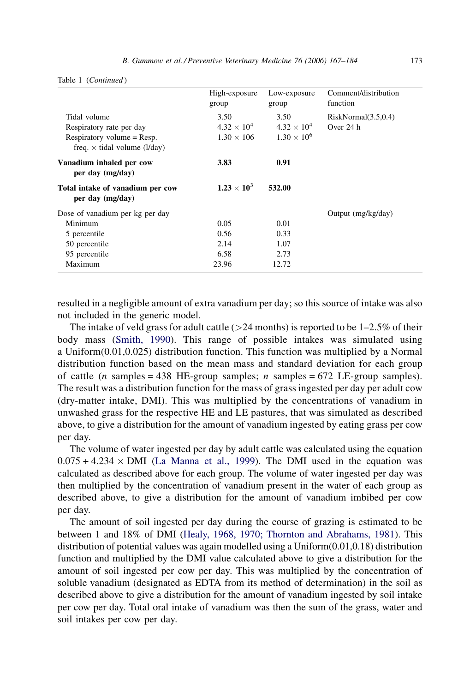|                                                                     | High-exposure<br>group                       | Low-exposure<br>group | Comment/distribution<br>function |
|---------------------------------------------------------------------|----------------------------------------------|-----------------------|----------------------------------|
| Tidal volume                                                        | 3.50                                         | 3.50                  | RiskNormal(3.5,0.4)              |
| Respiratory rate per day                                            | $4.32 \times 10^{4}$<br>$4.32 \times 10^{4}$ |                       | Over 24 h                        |
| Respiratory volume $=$ Resp.<br>freq. $\times$ tidal volume (l/day) | $1.30 \times 106$                            | $1.30 \times 10^{6}$  |                                  |
| Vanadium inhaled per cow<br>per day (mg/day)                        | 3.83                                         | 0.91                  |                                  |
| Total intake of vanadium per cow<br>per day (mg/day)                | $1.23 \times 10^{3}$                         | 532.00                |                                  |
| Dose of vanadium per kg per day                                     |                                              |                       | Output (mg/kg/day)               |
| Minimum                                                             | 0.05                                         | 0.01                  |                                  |
| 5 percentile                                                        | 0.56                                         | 0.33                  |                                  |
| 50 percentile                                                       | 2.14                                         | 1.07                  |                                  |
| 95 percentile                                                       | 6.58                                         | 2.73                  |                                  |
| Maximum                                                             | 23.96                                        | 12.72                 |                                  |

#### Table 1 (Continued )

resulted in a negligible amount of extra vanadium per day; so this source of intake was also not included in the generic model.

The intake of veld grass for adult cattle ( $>$ 24 months) is reported to be 1–2.5% of their body mass ([Smith, 1990\)](#page-16-0). This range of possible intakes was simulated using a Uniform(0.01,0.025) distribution function. This function was multiplied by a Normal distribution function based on the mean mass and standard deviation for each group of cattle (*n* samples = 438 HE-group samples; *n* samples = 672 LE-group samples). The result was a distribution function for the mass of grass ingested per day per adult cow (dry-matter intake, DMI). This was multiplied by the concentrations of vanadium in unwashed grass for the respective HE and LE pastures, that was simulated as described above, to give a distribution for the amount of vanadium ingested by eating grass per cow per day.

The volume of water ingested per day by adult cattle was calculated using the equation  $0.075 + 4.234 \times DMI$  ([La Manna et al., 1999\)](#page-16-0). The DMI used in the equation was calculated as described above for each group. The volume of water ingested per day was then multiplied by the concentration of vanadium present in the water of each group as described above, to give a distribution for the amount of vanadium imbibed per cow per day.

The amount of soil ingested per day during the course of grazing is estimated to be between 1 and 18% of DMI [\(Healy, 1968, 1970; Thornton and Abrahams, 1981](#page-16-0)). This distribution of potential values was again modelled using a Uniform(0.01,0.18) distribution function and multiplied by the DMI value calculated above to give a distribution for the amount of soil ingested per cow per day. This was multiplied by the concentration of soluble vanadium (designated as EDTA from its method of determination) in the soil as described above to give a distribution for the amount of vanadium ingested by soil intake per cow per day. Total oral intake of vanadium was then the sum of the grass, water and soil intakes per cow per day.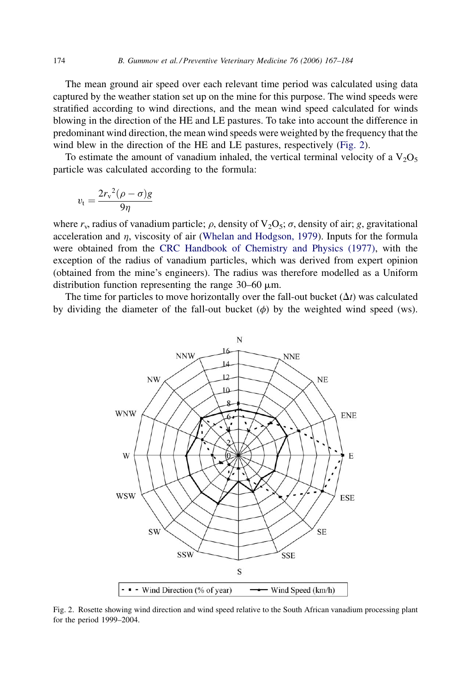The mean ground air speed over each relevant time period was calculated using data captured by the weather station set up on the mine for this purpose. The wind speeds were stratified according to wind directions, and the mean wind speed calculated for winds blowing in the direction of the HE and LE pastures. To take into account the difference in predominant wind direction, the mean wind speeds were weighted by the frequency that the wind blew in the direction of the HE and LE pastures, respectively (Fig. 2).

To estimate the amount of vanadium inhaled, the vertical terminal velocity of a  $V<sub>2</sub>O<sub>5</sub>$ particle was calculated according to the formula:

$$
v_{\rm t}=\frac{2r_{\rm v}^{\ 2}(\rho-\sigma)g}{9\eta}
$$

where  $r_v$ , radius of vanadium particle;  $\rho$ , density of  $V_2O_5$ ;  $\sigma$ , density of air; g, gravitational acceleration and  $\eta$ , viscosity of air [\(Whelan and Hodgson, 1979](#page-17-0)). Inputs for the formula were obtained from the [CRC Handbook of Chemistry and Physics \(1977\),](#page-15-0) with the exception of the radius of vanadium particles, which was derived from expert opinion (obtained from the mine's engineers). The radius was therefore modelled as a Uniform distribution function representing the range  $30-60 \mu m$ .

The time for particles to move horizontally over the fall-out bucket  $(\Delta t)$  was calculated by dividing the diameter of the fall-out bucket  $(\phi)$  by the weighted wind speed (ws).



Fig. 2. Rosette showing wind direction and wind speed relative to the South African vanadium processing plant for the period 1999–2004.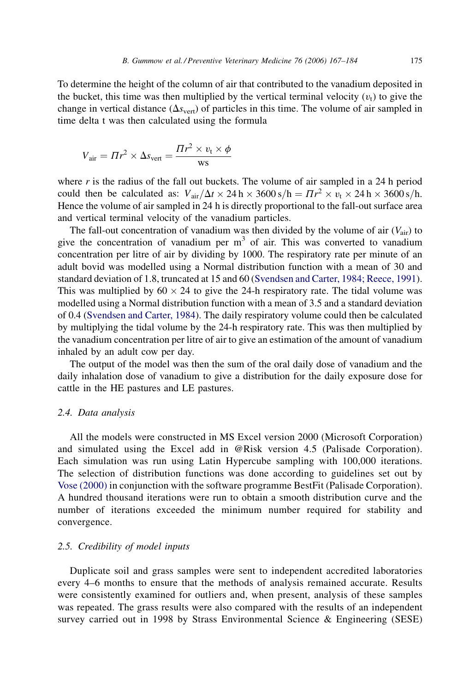To determine the height of the column of air that contributed to the vanadium deposited in the bucket, this time was then multiplied by the vertical terminal velocity  $(v_t)$  to give the change in vertical distance ( $\Delta s_{\text{vert}}$ ) of particles in this time. The volume of air sampled in time delta t was then calculated using the formula

$$
V_{\text{air}} = \Pi r^2 \times \Delta s_{\text{vert}} = \frac{\Pi r^2 \times v_{\text{t}} \times \phi}{\text{ws}}
$$

where  $r$  is the radius of the fall out buckets. The volume of air sampled in a 24 h period could then be calculated as:  $V_{\text{air}}/\Delta t \times 24 \text{ h} \times 3600 \text{ s/h} = \pi r^2 \times v_t \times 24 \text{ h} \times 3600 \text{ s/h}.$ Hence the volume of air sampled in 24 h is directly proportional to the fall-out surface area and vertical terminal velocity of the vanadium particles.

The fall-out concentration of vanadium was then divided by the volume of air  $(V_{air})$  to give the concentration of vanadium per  $m<sup>3</sup>$  of air. This was converted to vanadium concentration per litre of air by dividing by 1000. The respiratory rate per minute of an adult bovid was modelled using a Normal distribution function with a mean of 30 and standard deviation of 1.8, truncated at 15 and 60 [\(Svendsen and Carter, 1984; Reece, 1991\)](#page-16-0). This was multiplied by  $60 \times 24$  to give the 24-h respiratory rate. The tidal volume was modelled using a Normal distribution function with a mean of 3.5 and a standard deviation of 0.4 [\(Svendsen and Carter, 1984](#page-16-0)). The daily respiratory volume could then be calculated by multiplying the tidal volume by the 24-h respiratory rate. This was then multiplied by the vanadium concentration per litre of air to give an estimation of the amount of vanadium inhaled by an adult cow per day.

The output of the model was then the sum of the oral daily dose of vanadium and the daily inhalation dose of vanadium to give a distribution for the daily exposure dose for cattle in the HE pastures and LE pastures.

#### 2.4. Data analysis

All the models were constructed in MS Excel version 2000 (Microsoft Corporation) and simulated using the Excel add in @Risk version 4.5 (Palisade Corporation). Each simulation was run using Latin Hypercube sampling with 100,000 iterations. The selection of distribution functions was done according to guidelines set out by [Vose \(2000\)](#page-17-0) in conjunction with the software programme BestFit (Palisade Corporation). A hundred thousand iterations were run to obtain a smooth distribution curve and the number of iterations exceeded the minimum number required for stability and convergence.

#### 2.5. Credibility of model inputs

Duplicate soil and grass samples were sent to independent accredited laboratories every 4–6 months to ensure that the methods of analysis remained accurate. Results were consistently examined for outliers and, when present, analysis of these samples was repeated. The grass results were also compared with the results of an independent survey carried out in 1998 by Strass Environmental Science & Engineering (SESE)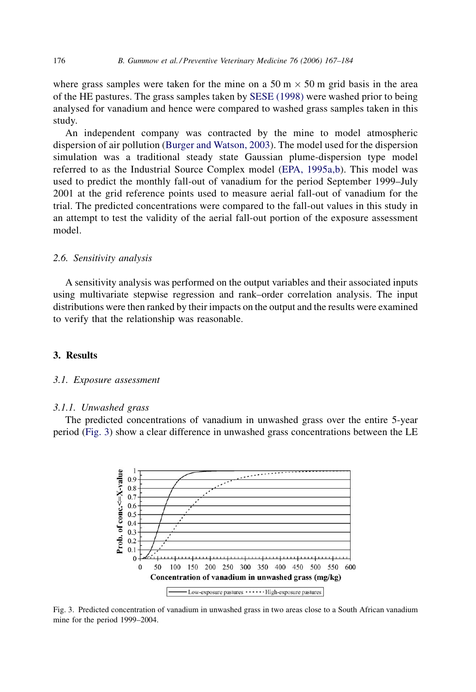<span id="page-9-0"></span>where grass samples were taken for the mine on a 50 m  $\times$  50 m grid basis in the area of the HE pastures. The grass samples taken by [SESE \(1998\)](#page-16-0) were washed prior to being analysed for vanadium and hence were compared to washed grass samples taken in this study.

An independent company was contracted by the mine to model atmospheric dispersion of air pollution ([Burger and Watson, 2003\)](#page-15-0). The model used for the dispersion simulation was a traditional steady state Gaussian plume-dispersion type model referred to as the Industrial Source Complex model [\(EPA, 1995a,b](#page-15-0)). This model was used to predict the monthly fall-out of vanadium for the period September 1999–July 2001 at the grid reference points used to measure aerial fall-out of vanadium for the trial. The predicted concentrations were compared to the fall-out values in this study in an attempt to test the validity of the aerial fall-out portion of the exposure assessment model.

#### 2.6. Sensitivity analysis

A sensitivity analysis was performed on the output variables and their associated inputs using multivariate stepwise regression and rank–order correlation analysis. The input distributions were then ranked by their impacts on the output and the results were examined to verify that the relationship was reasonable.

# 3. Results

## 3.1. Exposure assessment

#### 3.1.1. Unwashed grass

The predicted concentrations of vanadium in unwashed grass over the entire 5-year period (Fig. 3) show a clear difference in unwashed grass concentrations between the LE



Fig. 3. Predicted concentration of vanadium in unwashed grass in two areas close to a South African vanadium mine for the period 1999–2004.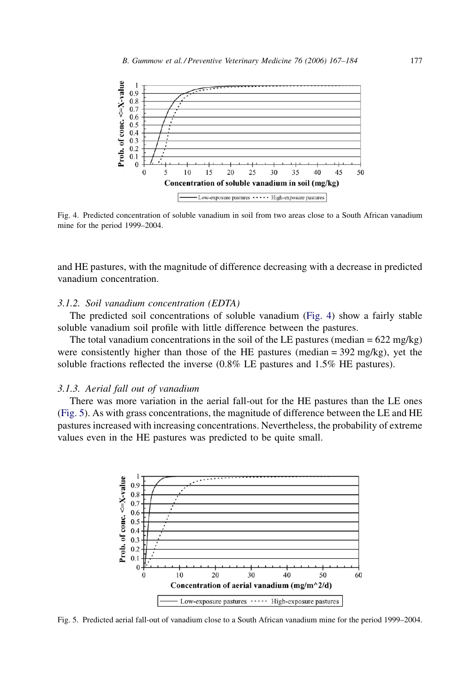<span id="page-10-0"></span>

Fig. 4. Predicted concentration of soluble vanadium in soil from two areas close to a South African vanadium mine for the period 1999–2004.

and HE pastures, with the magnitude of difference decreasing with a decrease in predicted vanadium concentration.

# 3.1.2. Soil vanadium concentration (EDTA)

The predicted soil concentrations of soluble vanadium (Fig. 4) show a fairly stable soluble vanadium soil profile with little difference between the pastures.

The total vanadium concentrations in the soil of the LE pastures (median =  $622 \text{ mg/kg}$ ) were consistently higher than those of the HE pastures (median  $=$  392 mg/kg), yet the soluble fractions reflected the inverse (0.8% LE pastures and 1.5% HE pastures).

## 3.1.3. Aerial fall out of vanadium

There was more variation in the aerial fall-out for the HE pastures than the LE ones (Fig. 5). As with grass concentrations, the magnitude of difference between the LE and HE pastures increased with increasing concentrations. Nevertheless, the probability of extreme values even in the HE pastures was predicted to be quite small.



Fig. 5. Predicted aerial fall-out of vanadium close to a South African vanadium mine for the period 1999–2004.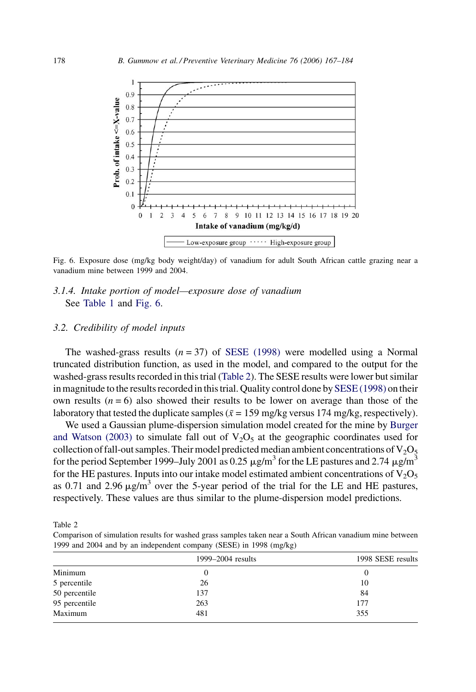

Fig. 6. Exposure dose (mg/kg body weight/day) of vanadium for adult South African cattle grazing near a vanadium mine between 1999 and 2004.

# 3.1.4. Intake portion of model—exposure dose of vanadium See [Table 1](#page-5-0) and Fig. 6.

# 3.2. Credibility of model inputs

The washed-grass results  $(n = 37)$  of [SESE \(1998\)](#page-16-0) were modelled using a Normal truncated distribution function, as used in the model, and compared to the output for the washed-grass results recorded in this trial (Table 2). The SESE results were lower but similar in magnitude to the results recorded in this trial. Quality control done by [SESE \(1998\)](#page-16-0) on their own results  $(n = 6)$  also showed their results to be lower on average than those of the laboratory that tested the duplicate samples ( $\bar{x}$  = 159 mg/kg versus 174 mg/kg, respectively).

We used a Gaussian plume-dispersion simulation model created for the mine by [Burger](#page-15-0) [and Watson \(2003\)](#page-15-0) to simulate fall out of  $V_2O_5$  at the geographic coordinates used for collection of fall-out samples. Their model predicted median ambient concentrations of  $V_2O_5$ for the period September 1999–July 2001 as 0.25  $\mu$ g/m<sup>3</sup> for the LE pastures and 2.74  $\mu$ g/m<sup>3</sup> for the HE pastures. Inputs into our intake model estimated ambient concentrations of  $V_2O_5$ as 0.71 and 2.96  $\mu$ g/m<sup>3</sup> over the 5-year period of the trial for the LE and HE pastures, respectively. These values are thus similar to the plume-dispersion model predictions.

Table 2

Comparison of simulation results for washed grass samples taken near a South African vanadium mine between 1999 and 2004 and by an independent company (SESE) in 1998 (mg/kg)

|               | 1999–2004 results | 1998 SESE results |
|---------------|-------------------|-------------------|
| Minimum       |                   | 0                 |
| 5 percentile  | 26                | 10                |
| 50 percentile | 137               | 84                |
| 95 percentile | 263               | 177               |
| Maximum       | 481               | 355               |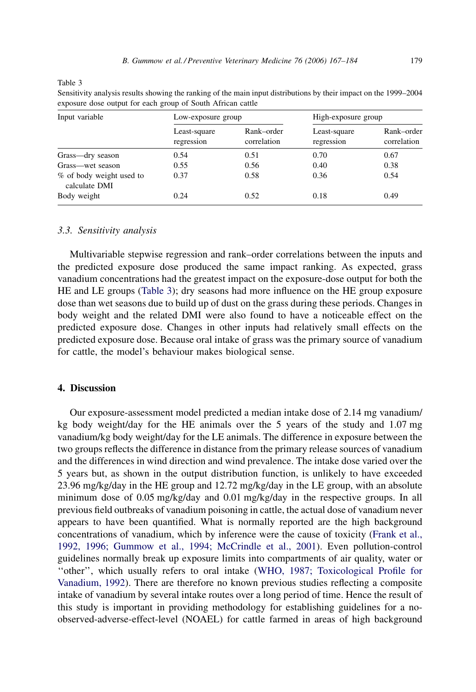Sensitivity analysis results showing the ranking of the main input distributions by their impact on the 1999–2004 exposure dose output for each group of South African cattle

| Input variable                            | Low-exposure group         |                           |                            | High-exposure group       |  |
|-------------------------------------------|----------------------------|---------------------------|----------------------------|---------------------------|--|
|                                           | Least-square<br>regression | Rank–order<br>correlation | Least-square<br>regression | Rank–order<br>correlation |  |
| Grass—dry season                          | 0.54                       | 0.51                      | 0.70                       | 0.67                      |  |
| Grass—wet season                          | 0.55                       | 0.56                      | 0.40                       | 0.38                      |  |
| % of body weight used to<br>calculate DMI | 0.37                       | 0.58                      | 0.36                       | 0.54                      |  |
| Body weight                               | 0.24                       | 0.52                      | 0.18                       | 0.49                      |  |

# 3.3. Sensitivity analysis

Multivariable stepwise regression and rank–order correlations between the inputs and the predicted exposure dose produced the same impact ranking. As expected, grass vanadium concentrations had the greatest impact on the exposure-dose output for both the HE and LE groups (Table 3); dry seasons had more influence on the HE group exposure dose than wet seasons due to build up of dust on the grass during these periods. Changes in body weight and the related DMI were also found to have a noticeable effect on the predicted exposure dose. Changes in other inputs had relatively small effects on the predicted exposure dose. Because oral intake of grass was the primary source of vanadium for cattle, the model's behaviour makes biological sense.

# 4. Discussion

Our exposure-assessment model predicted a median intake dose of 2.14 mg vanadium/ kg body weight/day for the HE animals over the 5 years of the study and 1.07 mg vanadium/kg body weight/day for the LE animals. The difference in exposure between the two groups reflects the difference in distance from the primary release sources of vanadium and the differences in wind direction and wind prevalence. The intake dose varied over the 5 years but, as shown in the output distribution function, is unlikely to have exceeded 23.96 mg/kg/day in the HE group and 12.72 mg/kg/day in the LE group, with an absolute minimum dose of 0.05 mg/kg/day and 0.01 mg/kg/day in the respective groups. In all previous field outbreaks of vanadium poisoning in cattle, the actual dose of vanadium never appears to have been quantified. What is normally reported are the high background concentrations of vanadium, which by inference were the cause of toxicity [\(Frank et al.,](#page-15-0) [1992, 1996; Gummow et al., 1994; McCrindle et al., 2001](#page-15-0)). Even pollution-control guidelines normally break up exposure limits into compartments of air quality, water or ''other'', which usually refers to oral intake [\(WHO, 1987; Toxicological Profile for](#page-17-0) [Vanadium, 1992](#page-17-0)). There are therefore no known previous studies reflecting a composite intake of vanadium by several intake routes over a long period of time. Hence the result of this study is important in providing methodology for establishing guidelines for a noobserved-adverse-effect-level (NOAEL) for cattle farmed in areas of high background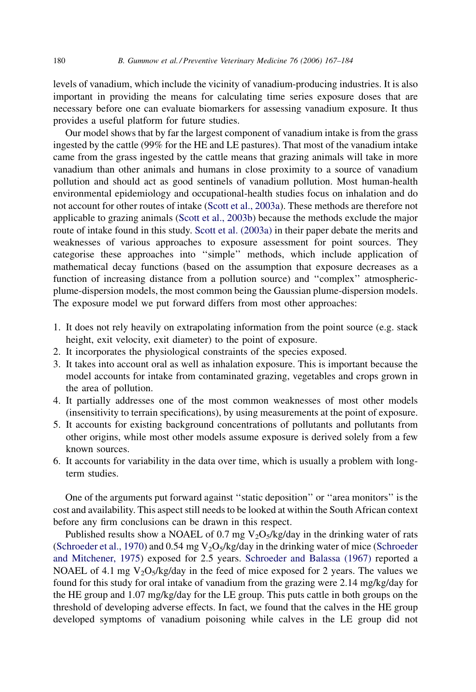levels of vanadium, which include the vicinity of vanadium-producing industries. It is also important in providing the means for calculating time series exposure doses that are necessary before one can evaluate biomarkers for assessing vanadium exposure. It thus provides a useful platform for future studies.

Our model shows that by far the largest component of vanadium intake is from the grass ingested by the cattle (99% for the HE and LE pastures). That most of the vanadium intake came from the grass ingested by the cattle means that grazing animals will take in more vanadium than other animals and humans in close proximity to a source of vanadium pollution and should act as good sentinels of vanadium pollution. Most human-health environmental epidemiology and occupational-health studies focus on inhalation and do not account for other routes of intake [\(Scott et al., 2003a](#page-16-0)). These methods are therefore not applicable to grazing animals ([Scott et al., 2003b](#page-16-0)) because the methods exclude the major route of intake found in this study. [Scott et al. \(2003a\)](#page-16-0) in their paper debate the merits and weaknesses of various approaches to exposure assessment for point sources. They categorise these approaches into ''simple'' methods, which include application of mathematical decay functions (based on the assumption that exposure decreases as a function of increasing distance from a pollution source) and ''complex'' atmosphericplume-dispersion models, the most common being the Gaussian plume-dispersion models. The exposure model we put forward differs from most other approaches:

- 1. It does not rely heavily on extrapolating information from the point source (e.g. stack height, exit velocity, exit diameter) to the point of exposure.
- 2. It incorporates the physiological constraints of the species exposed.
- 3. It takes into account oral as well as inhalation exposure. This is important because the model accounts for intake from contaminated grazing, vegetables and crops grown in the area of pollution.
- 4. It partially addresses one of the most common weaknesses of most other models (insensitivity to terrain specifications), by using measurements at the point of exposure.
- 5. It accounts for existing background concentrations of pollutants and pollutants from other origins, while most other models assume exposure is derived solely from a few known sources.
- 6. It accounts for variability in the data over time, which is usually a problem with longterm studies.

One of the arguments put forward against ''static deposition'' or ''area monitors'' is the cost and availability. This aspect still needs to be looked at within the South African context before any firm conclusions can be drawn in this respect.

Published results show a NOAEL of 0.7 mg  $V_2O_5/kg/day$  in the drinking water of rats ([Schroeder et al., 1970](#page-16-0)) and 0.54 mg  $V_2O_5/kg/day$  in the drinking water of mice [\(Schroeder](#page-16-0) [and Mitchener, 1975\)](#page-16-0) exposed for 2.5 years. [Schroeder and Balassa \(1967\)](#page-16-0) reported a NOAEL of 4.1 mg  $V_2O_5/kg/day$  in the feed of mice exposed for 2 years. The values we found for this study for oral intake of vanadium from the grazing were 2.14 mg/kg/day for the HE group and 1.07 mg/kg/day for the LE group. This puts cattle in both groups on the threshold of developing adverse effects. In fact, we found that the calves in the HE group developed symptoms of vanadium poisoning while calves in the LE group did not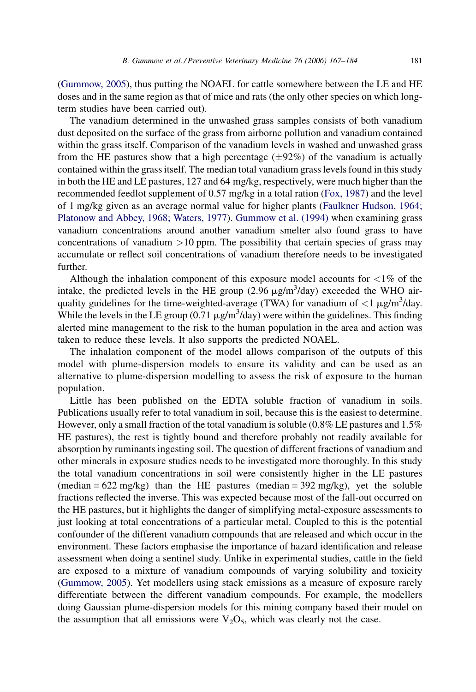[\(Gummow, 2005](#page-16-0)), thus putting the NOAEL for cattle somewhere between the LE and HE doses and in the same region as that of mice and rats (the only other species on which longterm studies have been carried out).

The vanadium determined in the unwashed grass samples consists of both vanadium dust deposited on the surface of the grass from airborne pollution and vanadium contained within the grass itself. Comparison of the vanadium levels in washed and unwashed grass from the HE pastures show that a high percentage  $(\pm 92\%)$  of the vanadium is actually contained within the grass itself. The median total vanadium grass levels found in this study in both the HE and LE pastures, 127 and 64 mg/kg, respectively, were much higher than the recommended feedlot supplement of 0.57 mg/kg in a total ration ([Fox, 1987](#page-15-0)) and the level of 1 mg/kg given as an average normal value for higher plants [\(Faulkner Hudson, 1964;](#page-15-0) [Platonow and Abbey, 1968; Waters, 1977](#page-15-0)). [Gummow et al. \(1994\)](#page-15-0) when examining grass vanadium concentrations around another vanadium smelter also found grass to have concentrations of vanadium  $>10$  ppm. The possibility that certain species of grass may accumulate or reflect soil concentrations of vanadium therefore needs to be investigated further.

Although the inhalation component of this exposure model accounts for  $\langle 1\%$  of the intake, the predicted levels in the HE group  $(2.96 \mu g/m^3/day)$  exceeded the WHO airquality guidelines for the time-weighted-average (TWA) for vanadium of  $\langle 1 \mu g/m^3/day$ . While the levels in the LE group (0.71  $\mu$ g/m<sup>3</sup>/day) were within the guidelines. This finding alerted mine management to the risk to the human population in the area and action was taken to reduce these levels. It also supports the predicted NOAEL.

The inhalation component of the model allows comparison of the outputs of this model with plume-dispersion models to ensure its validity and can be used as an alternative to plume-dispersion modelling to assess the risk of exposure to the human population.

Little has been published on the EDTA soluble fraction of vanadium in soils. Publications usually refer to total vanadium in soil, because this is the easiest to determine. However, only a small fraction of the total vanadium is soluble (0.8% LE pastures and 1.5% HE pastures), the rest is tightly bound and therefore probably not readily available for absorption by ruminants ingesting soil. The question of different fractions of vanadium and other minerals in exposure studies needs to be investigated more thoroughly. In this study the total vanadium concentrations in soil were consistently higher in the LE pastures (median =  $622 \text{ mg/kg}$ ) than the HE pastures (median =  $392 \text{ mg/kg}$ ), yet the soluble fractions reflected the inverse. This was expected because most of the fall-out occurred on the HE pastures, but it highlights the danger of simplifying metal-exposure assessments to just looking at total concentrations of a particular metal. Coupled to this is the potential confounder of the different vanadium compounds that are released and which occur in the environment. These factors emphasise the importance of hazard identification and release assessment when doing a sentinel study. Unlike in experimental studies, cattle in the field are exposed to a mixture of vanadium compounds of varying solubility and toxicity [\(Gummow, 2005\)](#page-16-0). Yet modellers using stack emissions as a measure of exposure rarely differentiate between the different vanadium compounds. For example, the modellers doing Gaussian plume-dispersion models for this mining company based their model on the assumption that all emissions were  $V_2O_5$ , which was clearly not the case.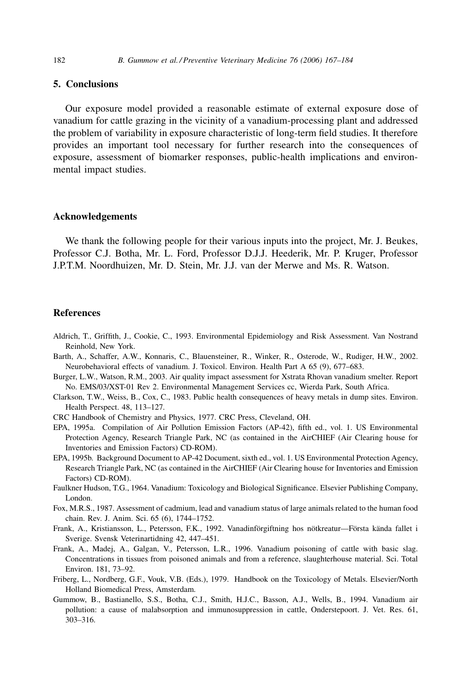# <span id="page-15-0"></span>5. Conclusions

Our exposure model provided a reasonable estimate of external exposure dose of vanadium for cattle grazing in the vicinity of a vanadium-processing plant and addressed the problem of variability in exposure characteristic of long-term field studies. It therefore provides an important tool necessary for further research into the consequences of exposure, assessment of biomarker responses, public-health implications and environmental impact studies.

# Acknowledgements

We thank the following people for their various inputs into the project, Mr. J. Beukes, Professor C.J. Botha, Mr. L. Ford, Professor D.J.J. Heederik, Mr. P. Kruger, Professor J.P.T.M. Noordhuizen, Mr. D. Stein, Mr. J.J. van der Merwe and Ms. R. Watson.

#### References

- Aldrich, T., Griffith, J., Cookie, C., 1993. Environmental Epidemiology and Risk Assessment. Van Nostrand Reinhold, New York.
- Barth, A., Schaffer, A.W., Konnaris, C., Blauensteiner, R., Winker, R., Osterode, W., Rudiger, H.W., 2002. Neurobehavioral effects of vanadium. J. Toxicol. Environ. Health Part A 65 (9), 677–683.
- Burger, L.W., Watson, R.M., 2003. Air quality impact assessment for Xstrata Rhovan vanadium smelter. Report No. EMS/03/XST-01 Rev 2. Environmental Management Services cc, Wierda Park, South Africa.
- Clarkson, T.W., Weiss, B., Cox, C., 1983. Public health consequences of heavy metals in dump sites. Environ. Health Perspect. 48, 113–127.
- CRC Handbook of Chemistry and Physics, 1977. CRC Press, Cleveland, OH.
- EPA, 1995a. Compilation of Air Pollution Emission Factors (AP-42), fifth ed., vol. 1. US Environmental Protection Agency, Research Triangle Park, NC (as contained in the AirCHIEF (Air Clearing house for Inventories and Emission Factors) CD-ROM).
- EPA, 1995b. Background Document to AP-42 Document, sixth ed., vol. 1. US Environmental Protection Agency, Research Triangle Park, NC (as contained in the AirCHIEF (Air Clearing house for Inventories and Emission Factors) CD-ROM).
- Faulkner Hudson, T.G., 1964. Vanadium: Toxicology and Biological Significance. Elsevier Publishing Company, London.
- Fox, M.R.S., 1987. Assessment of cadmium, lead and vanadium status of large animals related to the human food chain. Rev. J. Anim. Sci. 65 (6), 1744–1752.
- Frank, A., Kristiansson, L., Petersson, F.K., 1992. Vanadinförgiftning hos nötkreatur—Första kända fallet i Sverige. Svensk Veterinartidning 42, 447–451.
- Frank, A., Madej, A., Galgan, V., Petersson, L.R., 1996. Vanadium poisoning of cattle with basic slag. Concentrations in tissues from poisoned animals and from a reference, slaughterhouse material. Sci. Total Environ. 181, 73–92.
- Friberg, L., Nordberg, G.F., Vouk, V.B. (Eds.), 1979. Handbook on the Toxicology of Metals. Elsevier/North Holland Biomedical Press, Amsterdam.
- Gummow, B., Bastianello, S.S., Botha, C.J., Smith, H.J.C., Basson, A.J., Wells, B., 1994. Vanadium air pollution: a cause of malabsorption and immunosuppression in cattle, Onderstepoort. J. Vet. Res. 61, 303–316.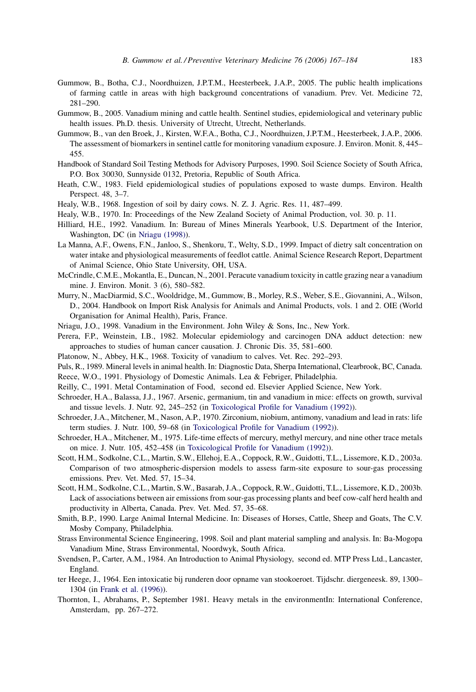- <span id="page-16-0"></span>Gummow, B., Botha, C.J., Noordhuizen, J.P.T.M., Heesterbeek, J.A.P., 2005. The public health implications of farming cattle in areas with high background concentrations of vanadium. Prev. Vet. Medicine 72, 281–290.
- Gummow, B., 2005. Vanadium mining and cattle health. Sentinel studies, epidemiological and veterinary public health issues. Ph.D. thesis. University of Utrecht, Utrecht, Netherlands.
- Gummow, B., van den Broek, J., Kirsten, W.F.A., Botha, C.J., Noordhuizen, J.P.T.M., Heesterbeek, J.A.P., 2006. The assessment of biomarkers in sentinel cattle for monitoring vanadium exposure. J. Environ. Monit. 8, 445– 455.
- Handbook of Standard Soil Testing Methods for Advisory Purposes, 1990. Soil Science Society of South Africa, P.O. Box 30030, Sunnyside 0132, Pretoria, Republic of South Africa.
- Heath, C.W., 1983. Field epidemiological studies of populations exposed to waste dumps. Environ. Health Perspect. 48, 3–7.
- Healy, W.B., 1968. Ingestion of soil by dairy cows. N. Z. J. Agric. Res. 11, 487–499.
- Healy, W.B., 1970. In: Proceedings of the New Zealand Society of Animal Production, vol. 30. p. 11.
- Hilliard, H.E., 1992. Vanadium. In: Bureau of Mines Minerals Yearbook, U.S. Department of the Interior, Washington, DC (in Nriagu (1998)).
- La Manna, A.F., Owens, F.N., Janloo, S., Shenkoru, T., Welty, S.D., 1999. Impact of dietry salt concentration on water intake and physiological measurements of feedlot cattle. Animal Science Research Report, Department of Animal Science, Ohio State University, OH, USA.
- McCrindle, C.M.E., Mokantla, E., Duncan, N., 2001. Peracute vanadium toxicity in cattle grazing near a vanadium mine. J. Environ. Monit. 3 (6), 580–582.
- Murry, N., MacDiarmid, S.C., Wooldridge, M., Gummow, B., Morley, R.S., Weber, S.E., Giovannini, A., Wilson, D., 2004. Handbook on Import Risk Analysis for Animals and Animal Products, vols. 1 and 2. OIE (World Organisation for Animal Health), Paris, France.
- Nriagu, J.O., 1998. Vanadium in the Environment. John Wiley & Sons, Inc., New York.
- Perera, F.P., Weinstein, I.B., 1982. Molecular epidemiology and carcinogen DNA adduct detection: new approaches to studies of human cancer causation. J. Chronic Dis. 35, 581–600.
- Platonow, N., Abbey, H.K., 1968. Toxicity of vanadium to calves. Vet. Rec. 292–293.

Puls, R., 1989. Mineral levels in animal health. In: Diagnostic Data, Sherpa International, Clearbrook, BC, Canada.

- Reece, W.O., 1991. Physiology of Domestic Animals. Lea & Febriger, Philadelphia.
- Reilly, C., 1991. Metal Contamination of Food, second ed. Elsevier Applied Science, New York.
- Schroeder, H.A., Balassa, J.J., 1967. Arsenic, germanium, tin and vanadium in mice: effects on growth, survival and tissue levels. J. Nutr. 92, 245–252 (in [Toxicological Profile for Vanadium \(1992\)](#page-17-0)).
- Schroeder, J.A., Mitchener, M., Nason, A.P., 1970. Zirconium, niobium, antimony, vanadium and lead in rats: life term studies. J. Nutr. 100, 59–68 (in [Toxicological Profile for Vanadium \(1992\)](#page-17-0)).
- Schroeder, H.A., Mitchener, M., 1975. Life-time effects of mercury, methyl mercury, and nine other trace metals on mice. J. Nutr. 105, 452–458 (in [Toxicological Profile for Vanadium \(1992\)\)](#page-17-0).
- Scott, H.M., Sodkolne, C.L., Martin, S.W., Ellehoj, E.A., Coppock, R.W., Guidotti, T.L., Lissemore, K.D., 2003a. Comparison of two atmospheric-dispersion models to assess farm-site exposure to sour-gas processing emissions. Prev. Vet. Med. 57, 15–34.
- Scott, H.M., Sodkolne, C.L., Martin, S.W., Basarab, J.A., Coppock, R.W., Guidotti, T.L., Lissemore, K.D., 2003b. Lack of associations between air emissions from sour-gas processing plants and beef cow-calf herd health and productivity in Alberta, Canada. Prev. Vet. Med. 57, 35–68.
- Smith, B.P., 1990. Large Animal Internal Medicine. In: Diseases of Horses, Cattle, Sheep and Goats, The C.V. Mosby Company, Philadelphia.
- Strass Environmental Science Engineering, 1998. Soil and plant material sampling and analysis. In: Ba-Mogopa Vanadium Mine, Strass Environmental, Noordwyk, South Africa.
- Svendsen, P., Carter, A.M., 1984. An Introduction to Animal Physiology, second ed. MTP Press Ltd., Lancaster, England.
- ter Heege, J., 1964. Een intoxicatie bij runderen door opname van stookoeroet. Tijdschr. diergeneesk. 89, 1300– 1304 (in [Frank et al. \(1996\)\)](#page-15-0).
- Thornton, I., Abrahams, P., September 1981. Heavy metals in the environmentIn: International Conference, Amsterdam, pp. 267–272.